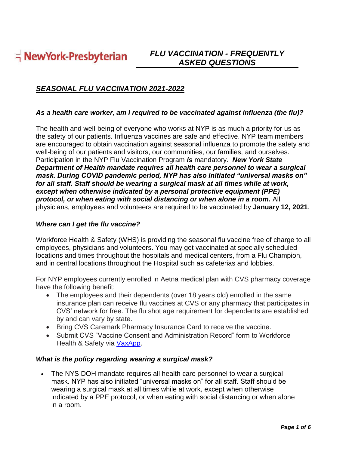$\frac{1}{1}$  NewYork-Presbyterian

# *FLU VACCINATION - FREQUENTLY ASKED QUESTIONS*

# *SEASONAL FLU VACCINATION 2021-2022*

#### *As a health care worker, am I required to be vaccinated against influenza (the flu)?*

The health and well-being of everyone who works at NYP is as much a priority for us as the safety of our patients. Influenza vaccines are safe and effective. NYP team members are encouraged to obtain vaccination against seasonal influenza to promote the safety and well-being of our patients and visitors, our communities, our families, and ourselves. Participation in the NYP Flu Vaccination Program *is* mandatory. *New York State Department of Health mandate requires all health care personnel to wear a surgical mask. During COVID pandemic period, NYP has also initiated "universal masks on" for all staff. Staff should be wearing a surgical mask at all times while at work, except when otherwise indicated by a personal protective equipment (PPE) protocol, or when eating with social distancing or when alone in a room.* All physicians, employees and volunteers are required to be vaccinated by **January 12, 2021**.

#### *Where can I get the flu vaccine?*

Workforce Health & Safety (WHS) is providing the seasonal flu vaccine free of charge to all employees, physicians and volunteers. You may get vaccinated at specially scheduled locations and times throughout the hospitals and medical centers, from a Flu Champion, and in central locations throughout the Hospital such as cafeterias and lobbies.

For NYP employees currently enrolled in Aetna medical plan with CVS pharmacy coverage have the following benefit:

- The employees and their dependents (over 18 years old) enrolled in the same insurance plan can receive flu vaccines at CVS or any pharmacy that participates in CVS' network for free. The flu shot age requirement for dependents are established by and can vary by state.
- Bring CVS Caremark Pharmacy Insurance Card to receive the vaccine.
- Submit CVS "Vaccine Consent and Administration Record" form to Workforce Health & Safety via VaxApp.

#### *What is the policy regarding wearing a surgical mask?*

The NYS DOH mandate requires all health care personnel to wear a surgical mask. NYP has also initiated "universal masks on" for all staff. Staff should be wearing a surgical mask at all times while at work, except when otherwise indicated by a PPE protocol, or when eating with social distancing or when alone in a room.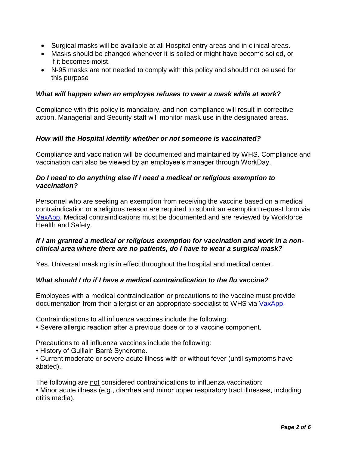- Surgical masks will be available at all Hospital entry areas and in clinical areas.
- Masks should be changed whenever it is soiled or might have become soiled, or if it becomes moist.
- N-95 masks are not needed to comply with this policy and should not be used for this purpose

## *What will happen when an employee refuses to wear a mask while at work?*

Compliance with this policy is mandatory, and non-compliance will result in corrective action. Managerial and Security staff will monitor mask use in the designated areas.

## *How will the Hospital identify whether or not someone is vaccinated?*

Compliance and vaccination will be documented and maintained by WHS. Compliance and vaccination can also be viewed by an employee's manager through WorkDay.

## *Do I need to do anything else if I need a medical or religious exemption to vaccination?*

Personnel who are seeking an exemption from receiving the vaccine based on a medical contraindication or a religious reason are required to submit an exemption request form via VaxApp. Medical contraindications must be documented and are reviewed by Workforce Health and Safety.

# *If I am granted a medical or religious exemption for vaccination and work in a nonclinical area where there are no patients, do I have to wear a surgical mask?*

Yes. Universal masking is in effect throughout the hospital and medical center.

## *What should I do if I have a medical contraindication to the flu vaccine?*

Employees with a medical contraindication or precautions to the vaccine must provide documentation from their allergist or an appropriate specialist to WHS via VaxApp.

Contraindications to all influenza vaccines include the following:

• Severe allergic reaction after a previous dose or to a vaccine component.

Precautions to all influenza vaccines include the following:

• History of Guillain Barré Syndrome.

• Current moderate or severe acute illness with or without fever (until symptoms have abated).

The following are not considered contraindications to influenza vaccination:

• Minor acute illness (e.g., diarrhea and minor upper respiratory tract illnesses, including otitis media).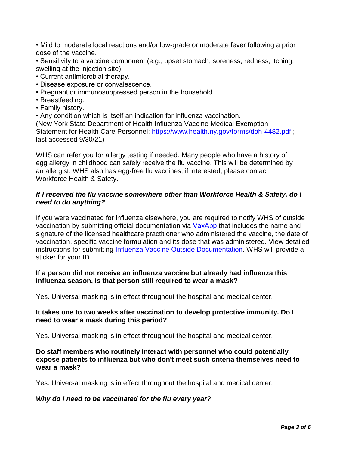• Mild to moderate local reactions and/or low-grade or moderate fever following a prior dose of the vaccine.

• Sensitivity to a vaccine component (e.g., upset stomach, soreness, redness, itching, swelling at the injection site).

- Current antimicrobial therapy.
- Disease exposure or convalescence.
- Pregnant or immunosuppressed person in the household.
- Breastfeeding.
- Family history.

• Any condition which is itself an indication for influenza vaccination.

(New York State Department of Health Influenza Vaccine Medical Exemption Statement for Health Care Personnel: https://www.health.ny.gov/forms/doh-4482.pdf ; last accessed 9/30/21)

WHS can refer you for allergy testing if needed. Many people who have a history of egg allergy in childhood can safely receive the flu vaccine. This will be determined by an allergist. WHS also has egg-free flu vaccines; if interested, please contact Workforce Health & Safety.

### *If I received the flu vaccine somewhere other than Workforce Health & Safety, do I need to do anything?*

If you were vaccinated for influenza elsewhere, you are required to notify WHS of outside vaccination by submitting official documentation via VaxApp that includes the name and signature of the licensed healthcare practitioner who administered the vaccine, the date of vaccination, specific vaccine formulation and its dose that was administered. View detailed instructions for submitting Influenza Vaccine Outside Documentation. WHS will provide a sticker for your ID.

### **If a person did not receive an influenza vaccine but already had influenza this influenza season, is that person still required to wear a mask?**

Yes. Universal masking is in effect throughout the hospital and medical center.

### **It takes one to two weeks after vaccination to develop protective immunity. Do I need to wear a mask during this period?**

Yes. Universal masking is in effect throughout the hospital and medical center.

## **Do staff members who routinely interact with personnel who could potentially expose patients to influenza but who don't meet such criteria themselves need to wear a mask?**

Yes. Universal masking is in effect throughout the hospital and medical center.

#### *Why do I need to be vaccinated for the flu every year?*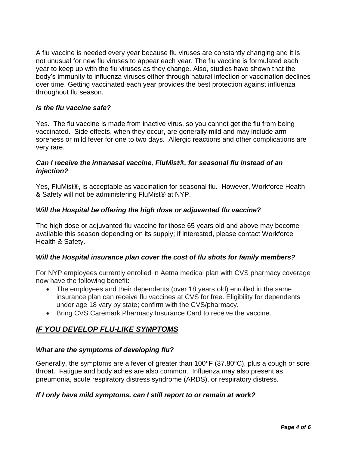A flu vaccine is needed every year because flu viruses are constantly changing and it is not unusual for new flu viruses to appear each year. The flu vaccine is formulated each year to keep up with the flu viruses as they change. Also, studies have shown that the body's immunity to influenza viruses either through natural infection or vaccination declines over time. Getting vaccinated each year provides the best protection against influenza throughout flu season.

## *Is the flu vaccine safe?*

Yes. The flu vaccine is made from inactive virus, so you cannot get the flu from being vaccinated. Side effects, when they occur, are generally mild and may include arm soreness or mild fever for one to two days. Allergic reactions and other complications are very rare.

## *Can I receive the intranasal vaccine, FluMist®, for seasonal flu instead of an injection?*

Yes, FluMist®, is acceptable as vaccination for seasonal flu. However, Workforce Health & Safety will not be administering FluMist® at NYP.

### *Will the Hospital be offering the high dose or adjuvanted flu vaccine?*

The high dose or adjuvanted flu vaccine for those 65 years old and above may become available this season depending on its supply; if interested, please contact Workforce Health & Safety.

#### *Will the Hospital insurance plan cover the cost of flu shots for family members?*

For NYP employees currently enrolled in Aetna medical plan with CVS pharmacy coverage now have the following benefit:

- The employees and their dependents (over 18 years old) enrolled in the same insurance plan can receive flu vaccines at CVS for free. Eligibility for dependents under age 18 vary by state; confirm with the CVS/pharmacy.
- Bring CVS Caremark Pharmacy Insurance Card to receive the vaccine.

# *IF YOU DEVELOP FLU-LIKE SYMPTOMS*

## *What are the symptoms of developing flu?*

Generally, the symptoms are a fever of greater than  $100^{\circ}F$  (37.80 $^{\circ}C$ ), plus a cough or sore throat. Fatigue and body aches are also common. Influenza may also present as pneumonia, acute respiratory distress syndrome (ARDS), or respiratory distress.

#### *If I only have mild symptoms, can I still report to or remain at work?*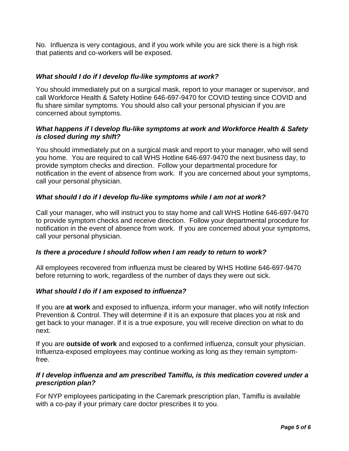No. Influenza is very contagious, and if you work while you are sick there is a high risk that patients and co-workers will be exposed.

# *What should I do if I develop flu-like symptoms at work?*

You should immediately put on a surgical mask, report to your manager or supervisor, and call Workforce Health & Safety Hotline 646-697-9470 for COVID testing since COVID and flu share similar symptoms. You should also call your personal physician if you are concerned about symptoms.

## *What happens if I develop flu-like symptoms at work and Workforce Health & Safety is closed during my shift?*

You should immediately put on a surgical mask and report to your manager, who will send you home. You are required to call WHS Hotline 646-697-9470 the next business day, to provide symptom checks and direction. Follow your departmental procedure for notification in the event of absence from work. If you are concerned about your symptoms, call your personal physician.

# *What should I do if I develop flu-like symptoms while I am not at work?*

Call your manager, who will instruct you to stay home and call WHS Hotline 646-697-9470 to provide symptom checks and receive direction. Follow your departmental procedure for notification in the event of absence from work. If you are concerned about your symptoms, call your personal physician.

## *Is there a procedure I should follow when I am ready to return to work?*

All employees recovered from influenza must be cleared by WHS Hotline 646-697-9470 before returning to work, regardless of the number of days they were out sick.

## *What should I do if I am exposed to influenza?*

If you are **at work** and exposed to influenza, inform your manager, who will notify Infection Prevention & Control. They will determine if it is an exposure that places you at risk and get back to your manager. If it is a true exposure, you will receive direction on what to do next.

If you are **outside of work** and exposed to a confirmed influenza, consult your physician. Influenza-exposed employees may continue working as long as they remain symptomfree.

### *If I develop influenza and am prescribed Tamiflu, is this medication covered under a prescription plan?*

For NYP employees participating in the Caremark prescription plan, Tamiflu is available with a co-pay if your primary care doctor prescribes it to you.